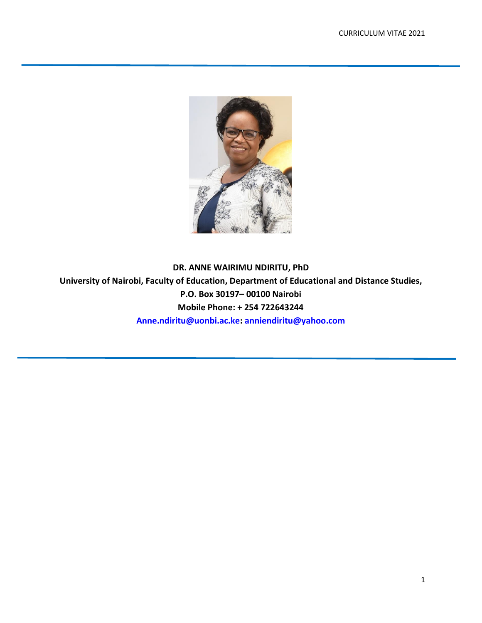

**DR. ANNE WAIRIMU NDIRITU, PhD University of Nairobi, Faculty of Education, Department of Educational and Distance Studies, P.O. Box 30197– 00100 Nairobi Mobile Phone: + 254 722643244 [Anne.ndiritu@uonbi.ac.ke:](mailto:Anne.ndiritu@uonbi.ac.ke) [anniendiritu@yahoo.com](mailto:anniendiritu@yahoo.com)**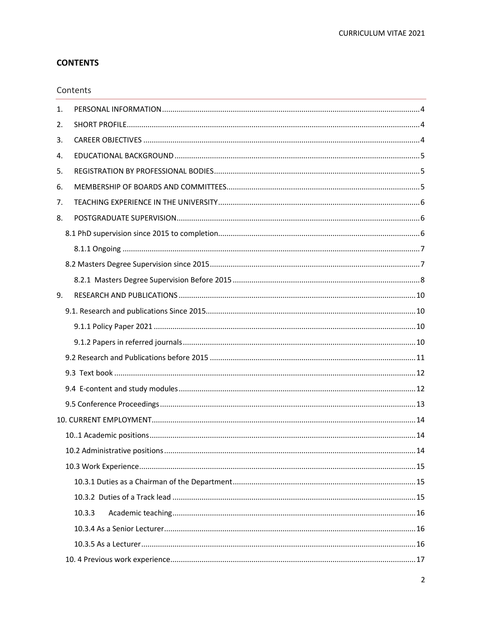# **CONTENTS**

### Contents

| 1. |        |  |  |
|----|--------|--|--|
| 2. |        |  |  |
| 3. |        |  |  |
| 4. |        |  |  |
| 5. |        |  |  |
| 6. |        |  |  |
| 7. |        |  |  |
| 8. |        |  |  |
|    |        |  |  |
|    |        |  |  |
|    |        |  |  |
|    |        |  |  |
| 9. |        |  |  |
|    |        |  |  |
|    |        |  |  |
|    |        |  |  |
|    |        |  |  |
|    |        |  |  |
|    |        |  |  |
|    |        |  |  |
|    |        |  |  |
|    |        |  |  |
|    |        |  |  |
|    |        |  |  |
|    |        |  |  |
|    |        |  |  |
|    | 10.3.3 |  |  |
|    |        |  |  |
|    |        |  |  |
|    |        |  |  |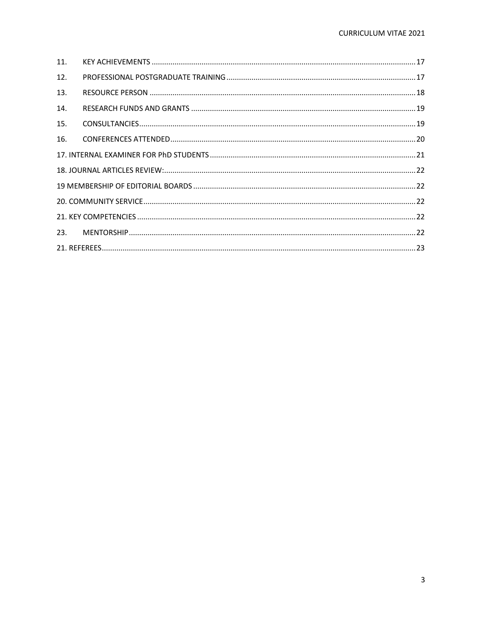| 11 <sub>1</sub> |  |  |  |  |
|-----------------|--|--|--|--|
| 12.             |  |  |  |  |
| 13.             |  |  |  |  |
| 14.             |  |  |  |  |
| 15.             |  |  |  |  |
| 16.             |  |  |  |  |
|                 |  |  |  |  |
|                 |  |  |  |  |
|                 |  |  |  |  |
|                 |  |  |  |  |
|                 |  |  |  |  |
| 23.             |  |  |  |  |
|                 |  |  |  |  |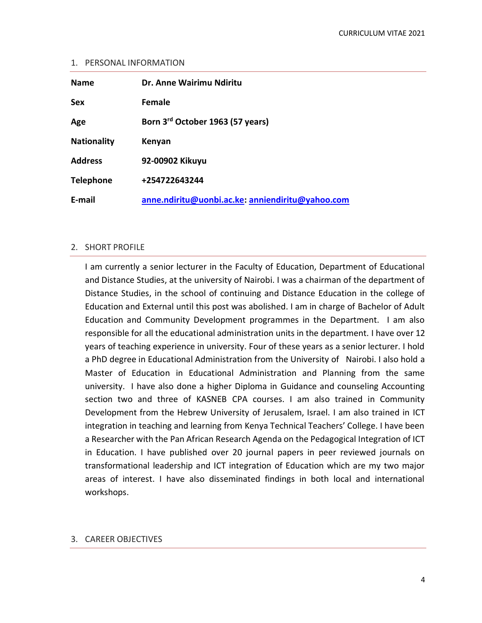#### <span id="page-3-0"></span>1. PERSONAL INFORMATION

| <b>Name</b>        | Dr. Anne Wairimu Ndiritu                         |
|--------------------|--------------------------------------------------|
| <b>Sex</b>         | Female                                           |
| Age                | Born 3 <sup>rd</sup> October 1963 (57 years)     |
| <b>Nationality</b> | Kenyan                                           |
| <b>Address</b>     | 92-00902 Kikuyu                                  |
| <b>Telephone</b>   | +254722643244                                    |
| E-mail             | anne.ndiritu@uonbi.ac.ke: anniendiritu@yahoo.com |

### <span id="page-3-1"></span>2. SHORT PROFILE

I am currently a senior lecturer in the Faculty of Education, Department of Educational and Distance Studies, at the university of Nairobi. I was a chairman of the department of Distance Studies, in the school of continuing and Distance Education in the college of Education and External until this post was abolished. I am in charge of Bachelor of Adult Education and Community Development programmes in the Department. I am also responsible for all the educational administration units in the department. I have over 12 years of teaching experience in university. Four of these years as a senior lecturer. I hold a PhD degree in Educational Administration from the University of Nairobi. I also hold a Master of Education in Educational Administration and Planning from the same university. I have also done a higher Diploma in Guidance and counseling Accounting section two and three of KASNEB CPA courses. I am also trained in Community Development from the Hebrew University of Jerusalem, Israel. I am also trained in ICT integration in teaching and learning from Kenya Technical Teachers' College. I have been a Researcher with the Pan African Research Agenda on the Pedagogical Integration of ICT in Education. I have published over 20 journal papers in peer reviewed journals on transformational leadership and ICT integration of Education which are my two major areas of interest. I have also disseminated findings in both local and international workshops.

### <span id="page-3-2"></span>3. CAREER OBJECTIVES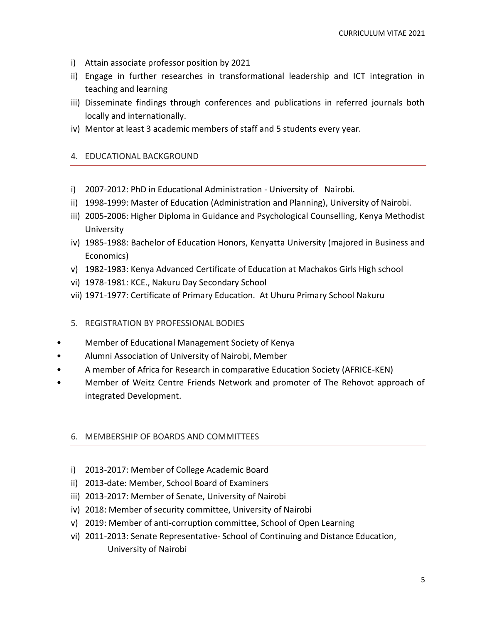- i) Attain associate professor position by 2021
- ii) Engage in further researches in transformational leadership and ICT integration in teaching and learning
- iii) Disseminate findings through conferences and publications in referred journals both locally and internationally.
- <span id="page-4-0"></span>iv) Mentor at least 3 academic members of staff and 5 students every year.

### 4. EDUCATIONAL BACKGROUND

- i) 2007-2012: PhD in Educational Administration University of Nairobi.
- ii) 1998-1999: Master of Education (Administration and Planning), University of Nairobi.
- iii) 2005-2006: Higher Diploma in Guidance and Psychological Counselling, Kenya Methodist University
- iv) 1985-1988: Bachelor of Education Honors, Kenyatta University (majored in Business and Economics)
- v) 1982-1983: Kenya Advanced Certificate of Education at Machakos Girls High school
- vi) 1978-1981: KCE., Nakuru Day Secondary School
- <span id="page-4-1"></span>vii) 1971-1977: Certificate of Primary Education. At Uhuru Primary School Nakuru

### 5. REGISTRATION BY PROFESSIONAL BODIES

- Member of Educational Management Society of Kenya
- Alumni Association of University of Nairobi, Member
- A member of Africa for Research in comparative Education Society (AFRICE-KEN)
- Member of Weitz Centre Friends Network and promoter of The Rehovot approach of integrated Development.

### <span id="page-4-2"></span>6. MEMBERSHIP OF BOARDS AND COMMITTEES

- i) 2013-2017: Member of College Academic Board
- ii) 2013-date: Member, School Board of Examiners
- iii) 2013-2017: Member of Senate, University of Nairobi
- iv) 2018: Member of security committee, University of Nairobi
- v) 2019: Member of anti-corruption committee, School of Open Learning
- vi) 2011-2013: Senate Representative- School of Continuing and Distance Education, University of Nairobi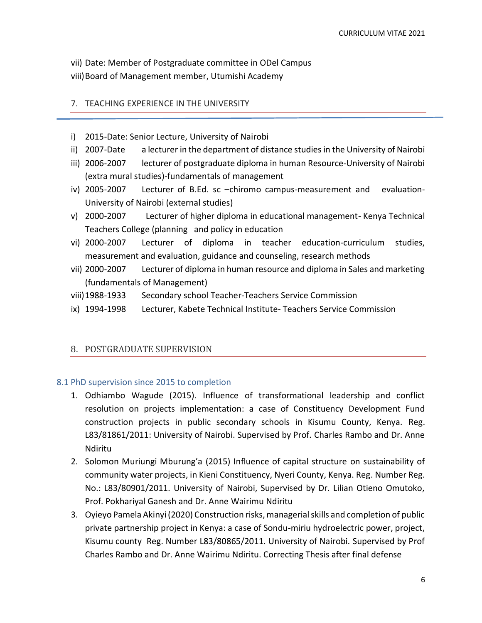vii) Date: Member of Postgraduate committee in ODel Campus viii)Board of Management member, Utumishi Academy

### <span id="page-5-0"></span>7. TEACHING EXPERIENCE IN THE UNIVERSITY

- i) 2015-Date: Senior Lecture, University of Nairobi
- ii) 2007-Date a lecturer in the department of distance studies in the University of Nairobi
- iii) 2006-2007 lecturer of postgraduate diploma in human Resource-University of Nairobi (extra mural studies)-fundamentals of management
- iv) 2005-2007 Lecturer of B.Ed. sc –chiromo campus-measurement and evaluation-University of Nairobi (external studies)
- v) 2000-2007 Lecturer of higher diploma in educational management- Kenya Technical Teachers College (planning and policy in education
- vi) 2000-2007 Lecturer of diploma in teacher education-curriculum studies, measurement and evaluation, guidance and counseling, research methods
- vii) 2000-2007 Lecturer of diploma in human resource and diploma in Sales and marketing (fundamentals of Management)
- viii)1988-1933 Secondary school Teacher-Teachers Service Commission
- ix) 1994-1998 Lecturer, Kabete Technical Institute- Teachers Service Commission

### <span id="page-5-1"></span>8. POSTGRADUATE SUPERVISION

### <span id="page-5-2"></span>8.1 PhD supervision since 2015 to completion

- 1. Odhiambo Wagude (2015). Influence of transformational leadership and conflict resolution on projects implementation: a case of Constituency Development Fund construction projects in public secondary schools in Kisumu County, Kenya. Reg. L83/81861/2011: University of Nairobi. Supervised by Prof. Charles Rambo and Dr. Anne Ndiritu
- 2. Solomon Muriungi Mburung'a (2015) Influence of capital structure on sustainability of community water projects, in Kieni Constituency, Nyeri County, Kenya. Reg. Number Reg. No.: L83/80901/2011. University of Nairobi, Supervised by Dr. Lilian Otieno Omutoko, Prof. Pokhariyal Ganesh and Dr. Anne Wairimu Ndiritu
- 3. Oyieyo Pamela Akinyi (2020) Construction risks, managerial skills and completion of public private partnership project in Kenya: a case of Sondu-miriu hydroelectric power, project, Kisumu county Reg. Number L83/80865/2011. University of Nairobi. Supervised by Prof Charles Rambo and Dr. Anne Wairimu Ndiritu. Correcting Thesis after final defense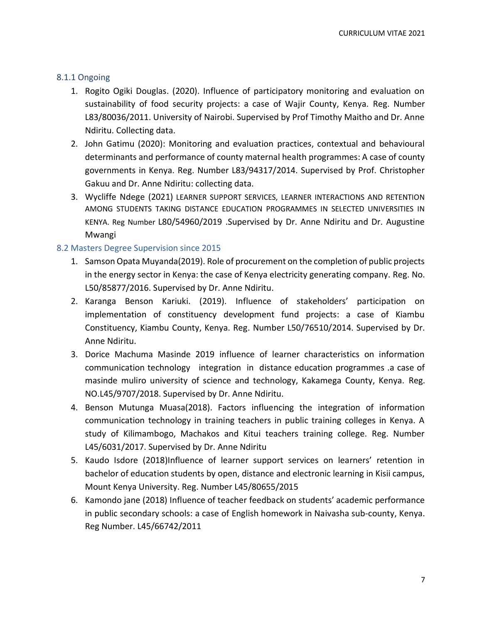### <span id="page-6-0"></span>8.1.1 Ongoing

- 1. Rogito Ogiki Douglas. (2020). Influence of participatory monitoring and evaluation on sustainability of food security projects: a case of Wajir County, Kenya. Reg. Number L83/80036/2011. University of Nairobi. Supervised by Prof Timothy Maitho and Dr. Anne Ndiritu. Collecting data.
- 2. John Gatimu (2020): Monitoring and evaluation practices, contextual and behavioural determinants and performance of county maternal health programmes: A case of county governments in Kenya. Reg. Number L83/94317/2014. Supervised by Prof. Christopher Gakuu and Dr. Anne Ndiritu: collecting data.
- 3. Wycliffe Ndege (2021) LEARNER SUPPORT SERVICES, LEARNER INTERACTIONS AND RETENTION AMONG STUDENTS TAKING DISTANCE EDUCATION PROGRAMMES IN SELECTED UNIVERSITIES IN KENYA. Reg Number L80/54960/2019 .Supervised by Dr. Anne Ndiritu and Dr. Augustine Mwangi

### <span id="page-6-1"></span>8.2 Masters Degree Supervision since 2015

- 1. Samson Opata Muyanda(2019). Role of procurement on the completion of public projects in the energy sector in Kenya: the case of Kenya electricity generating company. Reg. No. L50/85877/2016. Supervised by Dr. Anne Ndiritu.
- 2. Karanga Benson Kariuki. (2019). Influence of stakeholders' participation on implementation of constituency development fund projects: a case of Kiambu Constituency, Kiambu County, Kenya. Reg. Number L50/76510/2014. Supervised by Dr. Anne Ndiritu.
- 3. Dorice Machuma Masinde 2019 influence of learner characteristics on information communication technology integration in distance education programmes .a case of masinde muliro university of science and technology, Kakamega County, Kenya. Reg. NO.L45/9707/2018. Supervised by Dr. Anne Ndiritu.
- 4. Benson Mutunga Muasa(2018). Factors influencing the integration of information communication technology in training teachers in public training colleges in Kenya. A study of Kilimambogo, Machakos and Kitui teachers training college. Reg. Number L45/6031/2017. Supervised by Dr. Anne Ndiritu
- 5. Kaudo Isdore (2018)Influence of learner support services on learners' retention in bachelor of education students by open, distance and electronic learning in Kisii campus, Mount Kenya University. Reg. Number L45/80655/2015
- 6. Kamondo jane (2018) Influence of teacher feedback on students' academic performance in public secondary schools: a case of English homework in Naivasha sub-county, Kenya. Reg Number. L45/66742/2011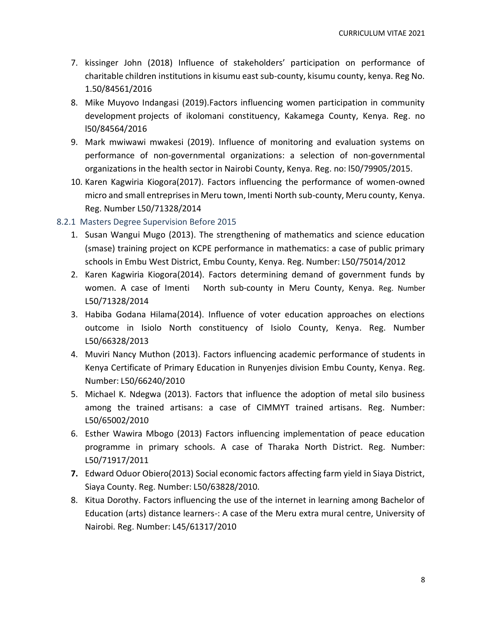- 7. kissinger John (2018) Influence of stakeholders' participation on performance of charitable children institutions in kisumu east sub-county, kisumu county, kenya. Reg No. 1.50/84561/2016
- 8. Mike Muyovo Indangasi (2019).Factors influencing women participation in community development projects of ikolomani constituency, Kakamega County, Kenya. Reg. no l50/84564/2016
- 9. Mark mwiwawi mwakesi (2019). Influence of monitoring and evaluation systems on performance of non-governmental organizations: a selection of non-governmental organizations in the health sector in Nairobi County, Kenya. Reg. no: l50/79905/2015.
- 10. Karen Kagwiria Kiogora(2017). Factors influencing the performance of women-owned micro and small entreprises in Meru town, Imenti North sub-county, Meru county, Kenya. Reg. Number L50/71328/2014

### <span id="page-7-0"></span>8.2.1 Masters Degree Supervision Before 2015

- 1. Susan Wangui Mugo (2013). The strengthening of mathematics and science education (smase) training project on KCPE performance in mathematics: a case of public primary schools in Embu West District, Embu County, Kenya. Reg. Number: L50/75014/2012
- 2. Karen Kagwiria Kiogora(2014). Factors determining demand of government funds by women. A case of Imenti North sub-county in Meru County, Kenya. Reg. Number L50/71328/2014
- 3. Habiba Godana Hilama(2014). Influence of voter education approaches on elections outcome in Isiolo North constituency of Isiolo County, Kenya. Reg. Number L50/66328/2013
- 4. Muviri Nancy Muthon (2013). Factors influencing academic performance of students in Kenya Certificate of Primary Education in Runyenjes division Embu County, Kenya. Reg. Number: L50/66240/2010
- 5. Michael K. Ndegwa (2013). Factors that influence the adoption of metal silo business among the trained artisans: a case of CIMMYT trained artisans. Reg. Number: L50/65002/2010
- 6. Esther Wawira Mbogo (2013) Factors influencing implementation of peace education programme in primary schools. A case of Tharaka North District. Reg. Number: L50/71917/2011
- **7.** Edward Oduor Obiero(2013) Social economic factors affecting farm yield in Siaya District, Siaya County. Reg. Number: L50/63828/2010.
- 8. Kitua Dorothy. Factors influencing the use of the internet in learning among Bachelor of Education (arts) distance learners-: A case of the Meru extra mural centre, University of Nairobi. Reg. Number: L45/61317/2010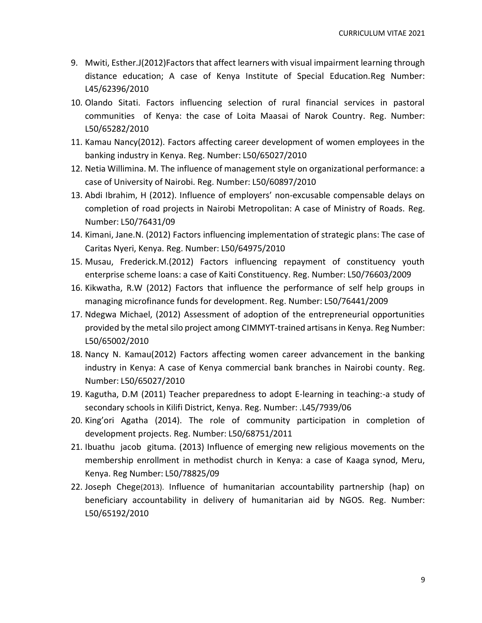- 9. Mwiti, Esther.J(2012)Factors that affect learners with visual impairment learning through distance education; A case of Kenya Institute of Special Education.Reg Number: L45/62396/2010
- 10. Olando Sitati. Factors influencing selection of rural financial services in pastoral communities of Kenya: the case of Loita Maasai of Narok Country. Reg. Number: L50/65282/2010
- 11. Kamau Nancy(2012). Factors affecting career development of women employees in the banking industry in Kenya. Reg. Number: L50/65027/2010
- 12. Netia Willimina. M. The influence of management style on organizational performance: a case of University of Nairobi. Reg. Number: L50/60897/2010
- 13. Abdi Ibrahim, H (2012). Influence of employers' non-excusable compensable delays on completion of road projects in Nairobi Metropolitan: A case of Ministry of Roads. Reg. Number: L50/76431/09
- 14. Kimani, Jane.N. (2012) Factors influencing implementation of strategic plans: The case of Caritas Nyeri, Kenya. Reg. Number: L50/64975/2010
- 15. Musau, Frederick.M.(2012) Factors influencing repayment of constituency youth enterprise scheme loans: a case of Kaiti Constituency. Reg. Number: L50/76603/2009
- 16. Kikwatha, R.W (2012) Factors that influence the performance of self help groups in managing microfinance funds for development. Reg. Number: L50/76441/2009
- 17. Ndegwa Michael, (2012) Assessment of adoption of the entrepreneurial opportunities provided by the metal silo project among CIMMYT-trained artisans in Kenya. Reg Number: L50/65002/2010
- 18. Nancy N. Kamau(2012) Factors affecting women career advancement in the banking industry in Kenya: A case of Kenya commercial bank branches in Nairobi county. Reg. Number: L50/65027/2010
- 19. Kagutha, D.M (2011) Teacher preparedness to adopt E-learning in teaching:-a study of secondary schools in Kilifi District, Kenya. Reg. Number: .L45/7939/06
- 20. King'ori Agatha (2014). The role of community participation in completion of development projects. Reg. Number: L50/68751/2011
- 21. Ibuathu jacob gituma. (2013) Influence of emerging new religious movements on the membership enrollment in methodist church in Kenya: a case of Kaaga synod, Meru, Kenya. Reg Number: L50/78825/09
- 22. Joseph Chege(2013). Influence of humanitarian accountability partnership (hap) on beneficiary accountability in delivery of humanitarian aid by NGOS. Reg. Number: L50/65192/2010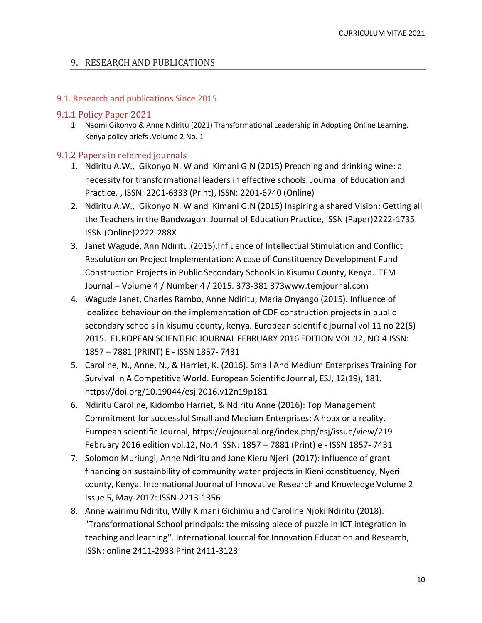### <span id="page-9-0"></span>9. RESEARCH AND PUBLICATIONS

### <span id="page-9-1"></span>9.1. Research and publications Since 2015

### <span id="page-9-2"></span>9.1.1 Policy Paper 2021

1. Naomi Gikonyo & Anne Ndiritu (2021) Transformational Leadership in Adopting Online Learning. Kenya policy briefs .Volume 2 No. 1

### <span id="page-9-3"></span>9.1.2 Papers in referred journals

- 1. Ndiritu A.W., Gikonyo N. W and Kimani G.N (2015) Preaching and drinking wine: a necessity for transformational leaders in effective schools. Journal of Education and Practice. , ISSN: 2201-6333 (Print), ISSN: 2201-6740 (Online)
- 2. Ndiritu A.W., Gikonyo N. W and Kimani G.N (2015) Inspiring a shared Vision: Getting all the Teachers in the Bandwagon. Journal of Education Practice, ISSN (Paper)2222-1735 ISSN (Online)2222-288X
- 3. Janet Wagude, Ann Ndiritu.(2015).Influence of Intellectual Stimulation and Conflict Resolution on Project Implementation: A case of Constituency Development Fund Construction Projects in Public Secondary Schools in Kisumu County, Kenya. TEM Journal – Volume 4 / Number 4 / 2015. 373-381 373www.temjournal.com
- 4. Wagude Janet, Charles Rambo, Anne Ndiritu, Maria Onyango (2015). Influence of idealized behaviour on the implementation of CDF construction projects in public secondary schools in kisumu county, kenya. European scientific journal vol 11 no 22(5) 2015. EUROPEAN SCIENTIFIC JOURNAL FEBRUARY 2016 EDITION VOL.12, NO.4 ISSN: 1857 – 7881 (PRINT) E - ISSN 1857- 7431
- 5. Caroline, N., Anne, N., & Harriet, K. (2016). Small And Medium Enterprises Training For Survival In A Competitive World. European Scientific Journal, ESJ, 12(19), 181. https://doi.org/10.19044/esj.2016.v12n19p181
- 6. Ndiritu Caroline, Kidombo Harriet, & Ndiritu Anne (2016): Top Management Commitment for successful Small and Medium Enterprises: A hoax or a reality. European scientific Journal, https://eujournal.org/index.php/esj/issue/view/219 February 2016 edition vol.12, No.4 ISSN: 1857 – 7881 (Print) e - ISSN 1857- 7431
- 7. Solomon Muriungi, Anne Ndiritu and Jane Kieru Njeri (2017): Influence of grant financing on sustainbility of community water projects in Kieni constituency, Nyeri county, Kenya. International Journal of Innovative Research and Knowledge Volume 2 Issue 5, May-2017: ISSN-2213-1356
- 8. Anne wairimu Ndiritu, Willy Kimani Gichimu and Caroline Njoki Ndiritu (2018): "Transformational School principals: the missing piece of puzzle in ICT integration in teaching and learning". International Journal for Innovation Education and Research, ISSN: online 2411-2933 Print 2411-3123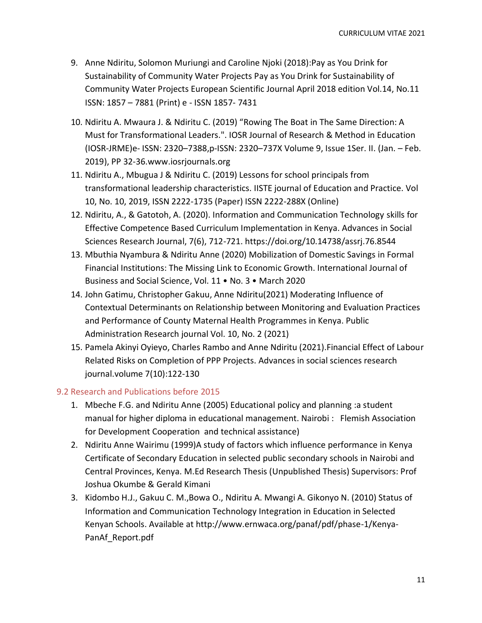- 9. Anne Ndiritu, Solomon Muriungi and Caroline Njoki (2018):Pay as You Drink for Sustainability of Community Water Projects Pay as You Drink for Sustainability of Community Water Projects European Scientific Journal April 2018 edition Vol.14, No.11 ISSN: 1857 – 7881 (Print) e - ISSN 1857- 7431
- 10. Ndiritu A. Mwaura J. & Ndiritu C. (2019) "Rowing The Boat in The Same Direction: A Must for Transformational Leaders.". IOSR Journal of Research & Method in Education (IOSR-JRME)e- ISSN: 2320–7388,p-ISSN: 2320–737X Volume 9, Issue 1Ser. II. (Jan. – Feb. 2019), PP 32-36.www.iosrjournals.org
- 11. Ndiritu A., Mbugua J & Ndiritu C. (2019) Lessons for school principals from transformational leadership characteristics. IISTE journal of Education and Practice. Vol 10, No. 10, 2019, ISSN 2222-1735 (Paper) ISSN 2222-288X (Online)
- 12. Ndiritu, A., & Gatotoh, A. (2020). Information and Communication Technology skills for Effective Competence Based Curriculum Implementation in Kenya. Advances in Social Sciences Research Journal, 7(6), 712-721. https://doi.org/10.14738/assrj.76.8544
- 13. Mbuthia Nyambura & Ndiritu Anne (2020) Mobilization of Domestic Savings in Formal Financial Institutions: The Missing Link to Economic Growth. International Journal of Business and Social Science, Vol. 11 • No. 3 • March 2020
- 14. John Gatimu, Christopher Gakuu, Anne Ndiritu(2021) Moderating Influence of Contextual Determinants on Relationship between Monitoring and Evaluation Practices and Performance of County Maternal Health Programmes in Kenya. Public Administration Research journal Vol. 10, No. 2 (2021)
- 15. Pamela Akinyi Oyieyo, Charles Rambo and Anne Ndiritu (2021).Financial Effect of Labour Related Risks on Completion of PPP Projects. Advances in social sciences research journal.volume 7(10):122-130

## <span id="page-10-0"></span>9.2 Research and Publications before 2015

- 1. Mbeche F.G. and Ndiritu Anne (2005) Educational policy and planning :a student manual for higher diploma in educational management. Nairobi : Flemish Association for Development Cooperation and technical assistance)
- 2. Ndiritu Anne Wairimu (1999)A study of factors which influence performance in Kenya Certificate of Secondary Education in selected public secondary schools in Nairobi and Central Provinces, Kenya. M.Ed Research Thesis (Unpublished Thesis) Supervisors: Prof Joshua Okumbe & Gerald Kimani
- 3. Kidombo H.J., Gakuu C. M.,Bowa O., Ndiritu A. Mwangi A. Gikonyo N. (2010) Status of Information and Communication Technology Integration in Education in Selected Kenyan Schools. Available at http://www.ernwaca.org/panaf/pdf/phase-1/Kenya-PanAf\_Report.pdf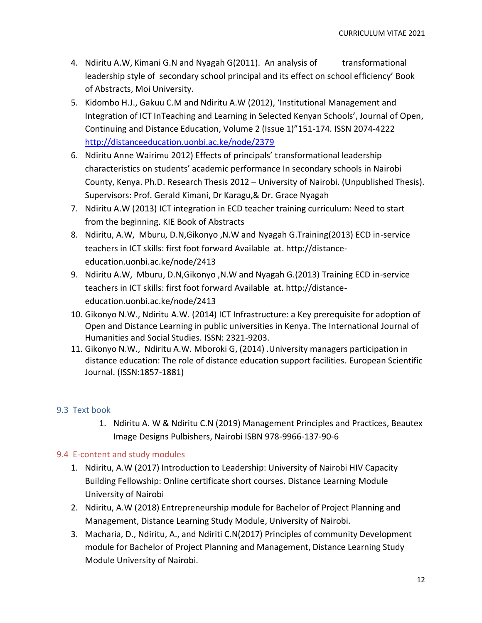- 4. Ndiritu A.W, Kimani G.N and Nyagah G(2011). An analysis of transformational leadership style of secondary school principal and its effect on school efficiency' Book of Abstracts, Moi University.
- 5. Kidombo H.J., Gakuu C.M and Ndiritu A.W (2012), 'Institutional Management and Integration of ICT InTeaching and Learning in Selected Kenyan Schools', Journal of Open, Continuing and Distance Education, Volume 2 (Issue 1)"151-174. ISSN 2074-4222 <http://distanceeducation.uonbi.ac.ke/node/2379>
- 6. Ndiritu Anne Wairimu 2012) Effects of principals' transformational leadership characteristics on students' academic performance In secondary schools in Nairobi County, Kenya. Ph.D. Research Thesis 2012 – University of Nairobi. (Unpublished Thesis). Supervisors: Prof. Gerald Kimani, Dr Karagu,& Dr. Grace Nyagah
- 7. Ndiritu A.W (2013) ICT integration in ECD teacher training curriculum: Need to start from the beginning. KIE Book of Abstracts
- 8. Ndiritu, A.W, Mburu, D.N,Gikonyo ,N.W and Nyagah G.Training(2013) ECD in-service teachers in ICT skills: first foot forward Available at. http://distanceeducation.uonbi.ac.ke/node/2413
- 9. Ndiritu A.W, Mburu, D.N,Gikonyo ,N.W and Nyagah G.(2013) Training ECD in-service teachers in ICT skills: first foot forward Available at. http://distanceeducation.uonbi.ac.ke/node/2413
- 10. Gikonyo N.W., Ndiritu A.W. (2014) ICT Infrastructure: a Key prerequisite for adoption of Open and Distance Learning in public universities in Kenya. The International Journal of Humanities and Social Studies. ISSN: 2321-9203.
- 11. Gikonyo N.W., Ndiritu A.W. Mboroki G, (2014) .University managers participation in distance education: The role of distance education support facilities. European Scientific Journal. (ISSN:1857-1881)

# <span id="page-11-0"></span>9.3 Text book

1. Ndiritu A. W & Ndiritu C.N (2019) Management Principles and Practices, Beautex Image Designs Pulbishers, Nairobi ISBN 978-9966-137-90-6

## <span id="page-11-1"></span>9.4 E-content and study modules

- 1. Ndiritu, A.W (2017) Introduction to Leadership: University of Nairobi HIV Capacity Building Fellowship: Online certificate short courses. Distance Learning Module University of Nairobi
- 2. Ndiritu, A.W (2018) Entrepreneurship module for Bachelor of Project Planning and Management, Distance Learning Study Module, University of Nairobi.
- 3. Macharia, D., Ndiritu, A., and Ndiriti C.N(2017) Principles of community Development module for Bachelor of Project Planning and Management, Distance Learning Study Module University of Nairobi.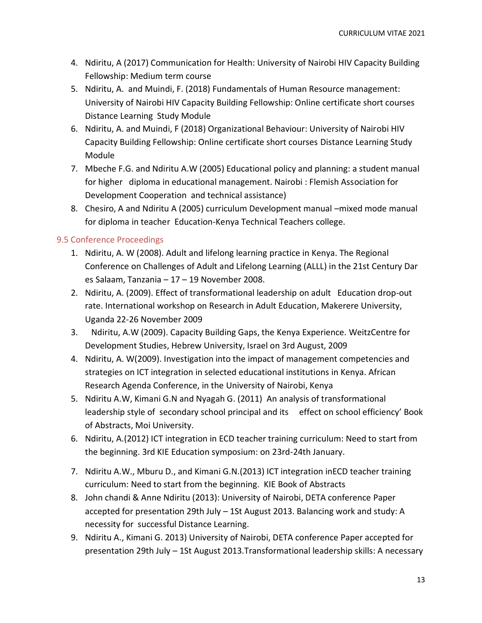- 4. Ndiritu, A (2017) Communication for Health: University of Nairobi HIV Capacity Building Fellowship: Medium term course
- 5. Ndiritu, A. and Muindi, F. (2018) Fundamentals of Human Resource management: University of Nairobi HIV Capacity Building Fellowship: Online certificate short courses Distance Learning Study Module
- 6. Ndiritu, A. and Muindi, F (2018) Organizational Behaviour: University of Nairobi HIV Capacity Building Fellowship: Online certificate short courses Distance Learning Study Module
- 7. Mbeche F.G. and Ndiritu A.W (2005) Educational policy and planning: a student manual for higher diploma in educational management. Nairobi : Flemish Association for Development Cooperation and technical assistance)
- 8. Chesiro, A and Ndiritu A (2005) curriculum Development manual –mixed mode manual for diploma in teacher Education-Kenya Technical Teachers college.

# <span id="page-12-0"></span>9.5 Conference Proceedings

- 1. Ndiritu, A. W (2008). Adult and lifelong learning practice in Kenya. The Regional Conference on Challenges of Adult and Lifelong Learning (ALLL) in the 21st Century Dar es Salaam, Tanzania – 17 – 19 November 2008.
- 2. Ndiritu, A. (2009). Effect of transformational leadership on adult Education drop-out rate. International workshop on Research in Adult Education, Makerere University, Uganda 22-26 November 2009
- 3. Ndiritu, A.W (2009). Capacity Building Gaps, the Kenya Experience. WeitzCentre for Development Studies, Hebrew University, Israel on 3rd August, 2009
- 4. Ndiritu, A. W(2009). Investigation into the impact of management competencies and strategies on ICT integration in selected educational institutions in Kenya. African Research Agenda Conference, in the University of Nairobi, Kenya
- 5. Ndiritu A.W, Kimani G.N and Nyagah G. (2011) An analysis of transformational leadership style of secondary school principal and its effect on school efficiency' Book of Abstracts, Moi University.
- 6. Ndiritu, A.(2012) ICT integration in ECD teacher training curriculum: Need to start from the beginning. 3rd KIE Education symposium: on 23rd-24th January.
- 7. Ndiritu A.W., Mburu D., and Kimani G.N.(2013) ICT integration inECD teacher training curriculum: Need to start from the beginning. KIE Book of Abstracts
- 8. John chandi & Anne Ndiritu (2013): University of Nairobi, DETA conference Paper accepted for presentation 29th July – 1St August 2013. Balancing work and study: A necessity for successful Distance Learning.
- 9. Ndiritu A., Kimani G. 2013) University of Nairobi, DETA conference Paper accepted for presentation 29th July – 1St August 2013.Transformational leadership skills: A necessary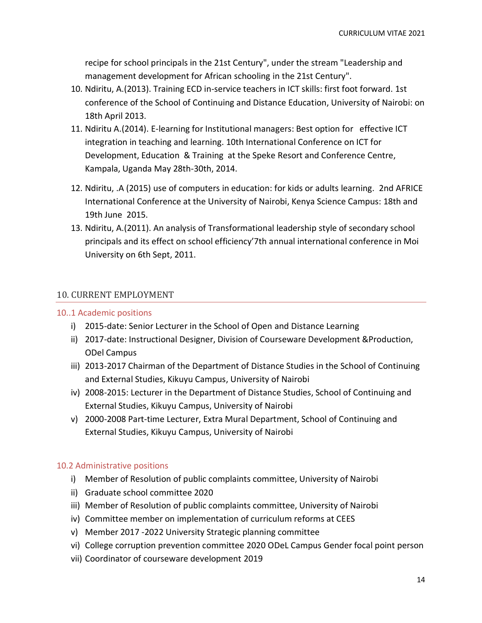recipe for school principals in the 21st Century", under the stream "Leadership and management development for African schooling in the 21st Century".

- 10. Ndiritu, A.(2013). Training ECD in-service teachers in ICT skills: first foot forward. 1st conference of the School of Continuing and Distance Education, University of Nairobi: on 18th April 2013.
- 11. Ndiritu A.(2014). E-learning for Institutional managers: Best option for effective ICT integration in teaching and learning. 10th International Conference on ICT for Development, Education & Training at the Speke Resort and Conference Centre, Kampala, Uganda May 28th-30th, 2014.
- 12. Ndiritu, .A (2015) use of computers in education: for kids or adults learning. 2nd AFRICE International Conference at the University of Nairobi, Kenya Science Campus: 18th and 19th June 2015.
- 13. Ndiritu, A.(2011). An analysis of Transformational leadership style of secondary school principals and its effect on school efficiency'7th annual international conference in Moi University on 6th Sept, 2011.

## <span id="page-13-0"></span>10. CURRENT EMPLOYMENT

### <span id="page-13-1"></span>10..1 Academic positions

- i) 2015-date: Senior Lecturer in the School of Open and Distance Learning
- ii) 2017-date: Instructional Designer, Division of Courseware Development &Production, ODel Campus
- iii) 2013-2017 Chairman of the Department of Distance Studies in the School of Continuing and External Studies, Kikuyu Campus, University of Nairobi
- iv) 2008-2015: Lecturer in the Department of Distance Studies, School of Continuing and External Studies, Kikuyu Campus, University of Nairobi
- v) 2000-2008 Part-time Lecturer, Extra Mural Department, School of Continuing and External Studies, Kikuyu Campus, University of Nairobi

### <span id="page-13-2"></span>10.2 Administrative positions

- i) Member of Resolution of public complaints committee, University of Nairobi
- ii) Graduate school committee 2020
- iii) Member of Resolution of public complaints committee, University of Nairobi
- iv) Committee member on implementation of curriculum reforms at CEES
- v) Member 2017 -2022 University Strategic planning committee
- vi) College corruption prevention committee 2020 ODeL Campus Gender focal point person
- vii) Coordinator of courseware development 2019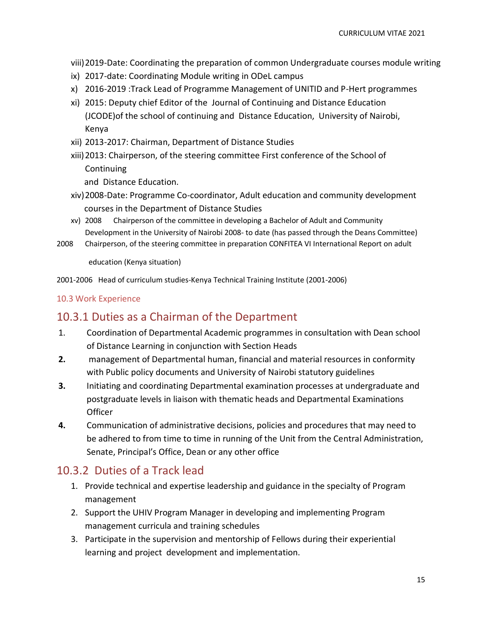viii)2019-Date: Coordinating the preparation of common Undergraduate courses module writing

- ix) 2017-date: Coordinating Module writing in ODeL campus
- x) 2016-2019 :Track Lead of Programme Management of UNITID and P-Hert programmes
- xi) 2015: Deputy chief Editor of the Journal of Continuing and Distance Education (JCODE)of the school of continuing and Distance Education, University of Nairobi, Kenya
- xii) 2013-2017: Chairman, Department of Distance Studies
- xiii)2013: Chairperson, of the steering committee First conference of the School of **Continuing**

and Distance Education.

- xiv)2008-Date: Programme Co-coordinator, Adult education and community development courses in the Department of Distance Studies
- xv) 2008 Chairperson of the committee in developing a Bachelor of Adult and Community Development in the University of Nairobi 2008- to date (has passed through the Deans Committee)
- 2008 Chairperson, of the steering committee in preparation CONFITEA VI International Report on adult

education (Kenya situation)

2001-2006 Head of curriculum studies-Kenya Technical Training Institute (2001-2006)

### <span id="page-14-0"></span>10.3 Work Experience

# <span id="page-14-1"></span>10.3.1 Duties as a Chairman of the Department

- 1. Coordination of Departmental Academic programmes in consultation with Dean school of Distance Learning in conjunction with Section Heads
- **2.** management of Departmental human, financial and material resources in conformity with Public policy documents and University of Nairobi statutory guidelines
- **3.** Initiating and coordinating Departmental examination processes at undergraduate and postgraduate levels in liaison with thematic heads and Departmental Examinations **Officer**
- **4.** Communication of administrative decisions, policies and procedures that may need to be adhered to from time to time in running of the Unit from the Central Administration, Senate, Principal's Office, Dean or any other office

# <span id="page-14-2"></span>10.3.2 Duties of a Track lead

- 1. Provide technical and expertise leadership and guidance in the specialty of Program management
- 2. Support the UHIV Program Manager in developing and implementing Program management curricula and training schedules
- 3. Participate in the supervision and mentorship of Fellows during their experiential learning and project development and implementation.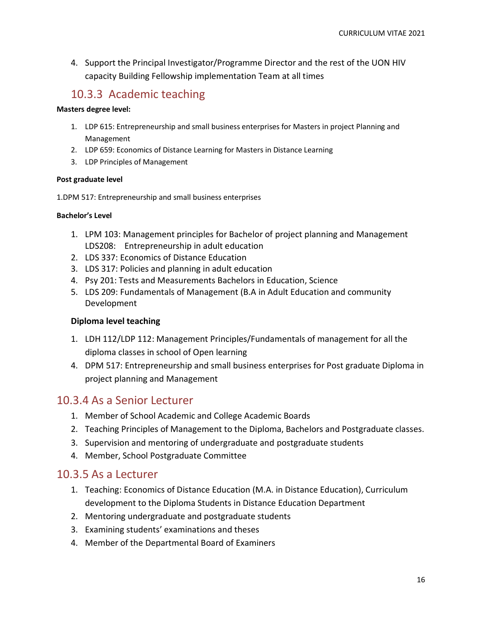4. Support the Principal Investigator/Programme Director and the rest of the UON HIV capacity Building Fellowship implementation Team at all times

# <span id="page-15-0"></span>10.3.3 Academic teaching

### **Masters degree level:**

- 1. LDP 615: Entrepreneurship and small business enterprises for Masters in project Planning and Management
- 2. LDP 659: Economics of Distance Learning for Masters in Distance Learning
- 3. LDP Principles of Management

### **Post graduate level**

1.DPM 517: Entrepreneurship and small business enterprises

### **Bachelor's Level**

- 1. LPM 103: Management principles for Bachelor of project planning and Management LDS208: Entrepreneurship in adult education
- 2. LDS 337: Economics of Distance Education
- 3. LDS 317: Policies and planning in adult education
- 4. Psy 201: Tests and Measurements Bachelors in Education, Science
- 5. LDS 209: Fundamentals of Management (B.A in Adult Education and community Development

## **Diploma level teaching**

- 1. LDH 112/LDP 112: Management Principles/Fundamentals of management for all the diploma classes in school of Open learning
- 4. DPM 517: Entrepreneurship and small business enterprises for Post graduate Diploma in project planning and Management

# <span id="page-15-1"></span>10.3.4 As a Senior Lecturer

- 1. Member of School Academic and College Academic Boards
- 2. Teaching Principles of Management to the Diploma, Bachelors and Postgraduate classes.
- 3. Supervision and mentoring of undergraduate and postgraduate students
- 4. Member, School Postgraduate Committee

# <span id="page-15-2"></span>10.3.5 As a Lecturer

- 1. Teaching: Economics of Distance Education (M.A. in Distance Education), Curriculum development to the Diploma Students in Distance Education Department
- 2. Mentoring undergraduate and postgraduate students
- 3. Examining students' examinations and theses
- 4. Member of the Departmental Board of Examiners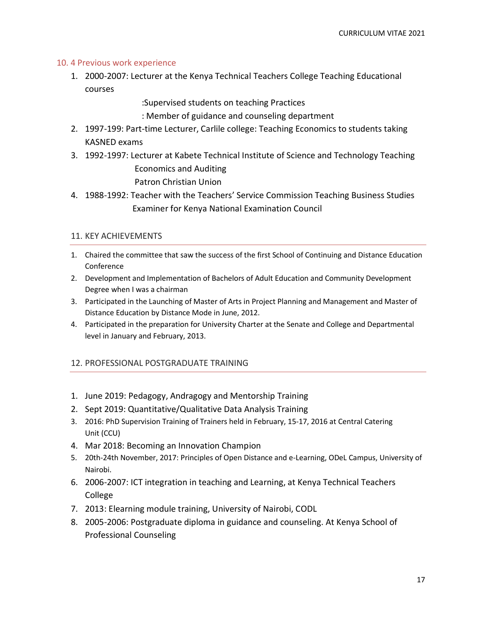### <span id="page-16-0"></span>10. 4 Previous work experience

1. 2000-2007: Lecturer at the Kenya Technical Teachers College Teaching Educational courses

:Supervised students on teaching Practices

- : Member of guidance and counseling department
- 2. 1997-199: Part-time Lecturer, Carlile college: Teaching Economics to students taking KASNED exams
- 3. 1992-1997: Lecturer at Kabete Technical Institute of Science and Technology Teaching Economics and Auditing

Patron Christian Union

4. 1988-1992: Teacher with the Teachers' Service Commission Teaching Business Studies Examiner for Kenya National Examination Council

### <span id="page-16-1"></span>11. KEY ACHIEVEMENTS

- 1. Chaired the committee that saw the success of the first School of Continuing and Distance Education Conference
- 2. Development and Implementation of Bachelors of Adult Education and Community Development Degree when I was a chairman
- 3. Participated in the Launching of Master of Arts in Project Planning and Management and Master of Distance Education by Distance Mode in June, 2012.
- 4. Participated in the preparation for University Charter at the Senate and College and Departmental level in January and February, 2013.

## <span id="page-16-2"></span>12. PROFESSIONAL POSTGRADUATE TRAINING

- 1. June 2019: Pedagogy, Andragogy and Mentorship Training
- 2. Sept 2019: Quantitative/Qualitative Data Analysis Training
- 3. 2016: PhD Supervision Training of Trainers held in February, 15-17, 2016 at Central Catering Unit (CCU)
- 4. Mar 2018: Becoming an Innovation Champion
- 5. 20th-24th November, 2017: Principles of Open Distance and e-Learning, ODeL Campus, University of Nairobi.
- 6. 2006-2007: ICT integration in teaching and Learning, at Kenya Technical Teachers College
- 7. 2013: Elearning module training, University of Nairobi, CODL
- 8. 2005-2006: Postgraduate diploma in guidance and counseling. At Kenya School of Professional Counseling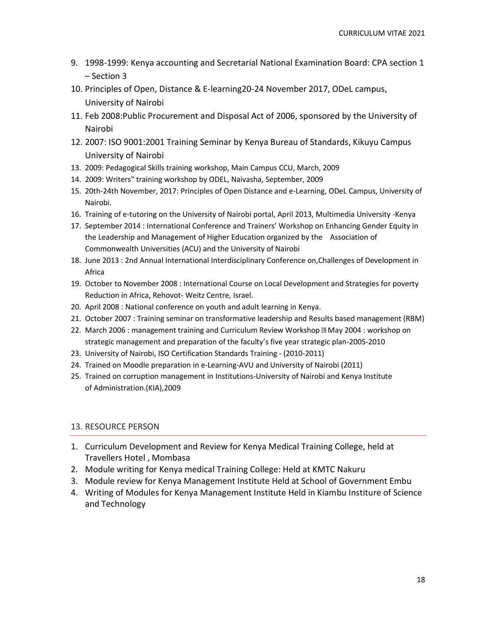- 9. 1998-1999: Kenya accounting and Secretarial National Examination Board: CPA section 1 – Section 3
- 10. Principles of Open, Distance & E-learning20-24 November 2017, ODeL campus, University of Nairobi
- 11. Feb 2008:Public Procurement and Disposal Act of 2006, sponsored by the University of Nairobi
- 12. 2007: ISO 9001:2001 Training Seminar by Kenya Bureau of Standards, Kikuyu Campus University of Nairobi
- 13. 2009: Pedagogical Skills training workshop, Main Campus CCU, March, 2009
- 14. 2009: Writers" training workshop by ODEL, Naivasha, September, 2009
- 15. 20th-24th November, 2017: Principles of Open Distance and e-Learning, ODeL Campus, University of Nairobi.
- 16. Training of e-tutoring on the University of Nairobi portal, April 2013, Multimedia University -Kenya
- 17. September 2014 : International Conference and Trainers' Workshop on Enhancing Gender Equity in the Leadership and Management of Higher Education organized by the Association of Commonwealth Universities (ACU) and the University of Nairobi
- 18. June 2013 : 2nd Annual International Interdisciplinary Conference on,Challenges of Development in Africa
- 19. October to November 2008 : International Course on Local Development and Strategies for poverty Reduction in Africa, Rehovot- Weitz Centre, Israel.
- 20. April 2008 : National conference on youth and adult learning in Kenya.
- 21. October 2007 : Training seminar on transformative leadership and Results based management (RBM)
- 22. March 2006 : management training and Curriculum Review Workshop **May 2004 : workshop on** strategic management and preparation of the faculty's five year strategic plan-2005-2010
- 23. University of Nairobi, ISO Certification Standards Training (2010-2011)
- 24. Trained on Moodle preparation in e-Learning-AVU and University of Nairobi (2011)
- 25. Trained on corruption management in Institutions-University of Nairobi and Kenya Institute of Administration.(KIA),2009

## <span id="page-17-0"></span>13. RESOURCE PERSON

- 1. Curriculum Development and Review for Kenya Medical Training College, held at Travellers Hotel , Mombasa
- 2. Module writing for Kenya medical Training College: Held at KMTC Nakuru
- 3. Module review for Kenya Management Institute Held at School of Government Embu
- 4. Writing of Modules for Kenya Management Institute Held in Kiambu Institure of Science and Technology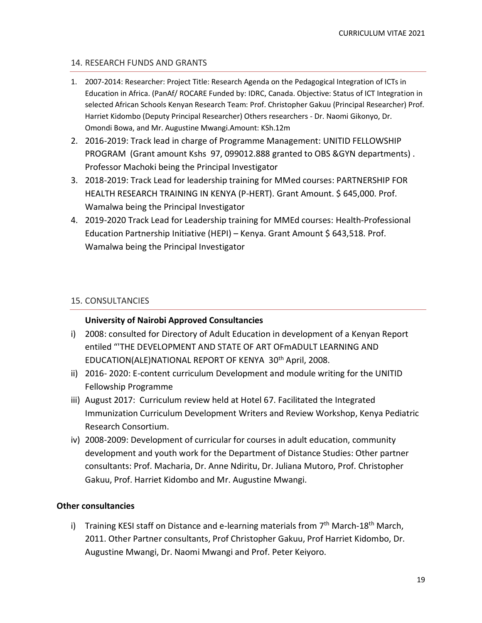### <span id="page-18-0"></span>14. RESEARCH FUNDS AND GRANTS

- 1. 2007-2014: Researcher: Project Title: Research Agenda on the Pedagogical Integration of ICTs in Education in Africa. (PanAf/ ROCARE Funded by: IDRC, Canada. Objective: Status of ICT Integration in selected African Schools Kenyan Research Team: Prof. Christopher Gakuu (Principal Researcher) Prof. Harriet Kidombo (Deputy Principal Researcher) Others researchers - Dr. Naomi Gikonyo, Dr. Omondi Bowa, and Mr. Augustine Mwangi.Amount: KSh.12m
- 2. 2016-2019: Track lead in charge of Programme Management: UNITID FELLOWSHIP PROGRAM (Grant amount Kshs 97, 099012.888 granted to OBS &GYN departments) . Professor Machoki being the Principal Investigator
- 3. 2018-2019: Track Lead for leadership training for MMed courses: PARTNERSHIP FOR HEALTH RESEARCH TRAINING IN KENYA (P-HERT). Grant Amount. \$ 645,000. Prof. Wamalwa being the Principal Investigator
- 4. 2019-2020 Track Lead for Leadership training for MMEd courses: Health-Professional Education Partnership Initiative (HEPI) - Kenya. Grant Amount \$ 643,518. Prof. Wamalwa being the Principal Investigator

### <span id="page-18-1"></span>15. CONSULTANCIES

### **University of Nairobi Approved Consultancies**

- i) 2008: consulted for Directory of Adult Education in development of a Kenyan Report entiled "'THE DEVELOPMENT AND STATE OF ART OFmADULT LEARNING AND EDUCATION(ALE)NATIONAL REPORT OF KENYA 30th April, 2008.
- ii) 2016- 2020: E-content curriculum Development and module writing for the UNITID Fellowship Programme
- iii) August 2017: Curriculum review held at Hotel 67. Facilitated the Integrated Immunization Curriculum Development Writers and Review Workshop, Kenya Pediatric Research Consortium.
- iv) 2008-2009: Development of curricular for courses in adult education, community development and youth work for the Department of Distance Studies: Other partner consultants: Prof. Macharia, Dr. Anne Ndiritu, Dr. Juliana Mutoro, Prof. Christopher Gakuu, Prof. Harriet Kidombo and Mr. Augustine Mwangi.

### **Other consultancies**

i) Training KESI staff on Distance and e-learning materials from  $7<sup>th</sup>$  March-18<sup>th</sup> March, 2011. Other Partner consultants, Prof Christopher Gakuu, Prof Harriet Kidombo, Dr. Augustine Mwangi, Dr. Naomi Mwangi and Prof. Peter Keiyoro.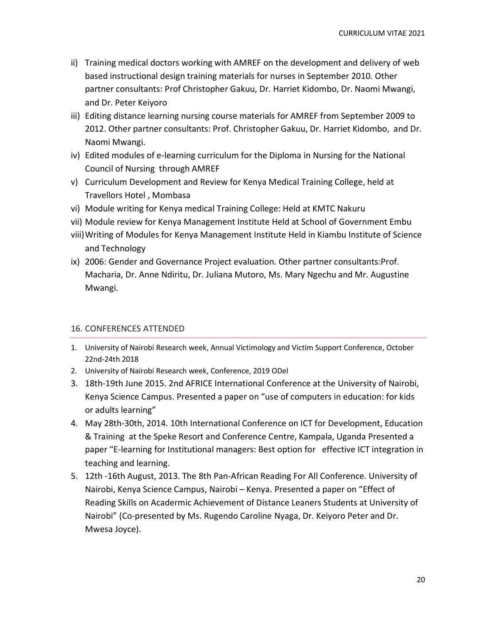- ii) Training medical doctors working with AMREF on the development and delivery of web based instructional design training materials for nurses in September 2010. Other partner consultants: Prof Christopher Gakuu, Dr. Harriet Kidombo, Dr. Naomi Mwangi, and Dr. Peter Keiyoro
- iii) Editing distance learning nursing course materials for AMREF from September 2009 to 2012. Other partner consultants: Prof. Christopher Gakuu, Dr. Harriet Kidombo, and Dr. Naomi Mwangi.
- iv) Edited modules of e-learning curriculum for the Diploma in Nursing for the National Council of Nursing through AMREF
- v) Curriculum Development and Review for Kenya Medical Training College, held at Travellors Hotel , Mombasa
- vi) Module writing for Kenya medical Training College: Held at KMTC Nakuru
- vii) Module review for Kenya Management Institute Held at School of Government Embu
- viii)Writing of Modules for Kenya Management Institute Held in Kiambu Institute of Science and Technology
- ix) 2006: Gender and Governance Project evaluation. Other partner consultants:Prof. Macharia, Dr. Anne Ndiritu, Dr. Juliana Mutoro, Ms. Mary Ngechu and Mr. Augustine Mwangi.

## <span id="page-19-0"></span>16. CONFERENCES ATTENDED

- 1. University of Nairobi Research week, Annual Victimology and Victim Support Conference, October 22nd-24th 2018
- 2. University of Nairobi Research week, Conference, 2019 ODel
- 3. 18th-19th June 2015. 2nd AFRICE International Conference at the University of Nairobi, Kenya Science Campus. Presented a paper on "use of computers in education: for kids or adults learning"
- 4. May 28th-30th, 2014. 10th International Conference on ICT for Development, Education & Training at the Speke Resort and Conference Centre, Kampala, Uganda Presented a paper "E-learning for Institutional managers: Best option for effective ICT integration in teaching and learning.
- 5. 12th -16th August, 2013. The 8th Pan-African Reading For All Conference. University of Nairobi, Kenya Science Campus, Nairobi – Kenya. Presented a paper on "Effect of Reading Skills on Acadermic Achievement of Distance Leaners Students at University of Nairobi" (Co-presented by Ms. Rugendo Caroline Nyaga, Dr. Keiyoro Peter and Dr. Mwesa Joyce).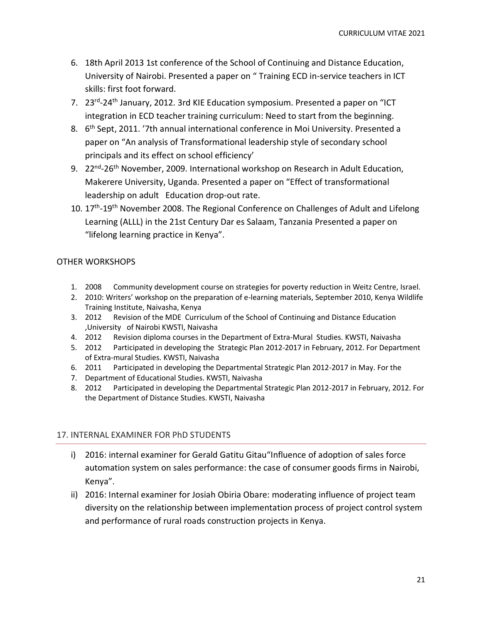- 6. 18th April 2013 1st conference of the School of Continuing and Distance Education, University of Nairobi. Presented a paper on " Training ECD in-service teachers in ICT skills: first foot forward.
- 7. 23<sup>rd</sup>-24<sup>th</sup> January, 2012. 3rd KIE Education symposium. Presented a paper on "ICT integration in ECD teacher training curriculum: Need to start from the beginning.
- 8. 6<sup>th</sup> Sept, 2011. '7th annual international conference in Moi University. Presented a paper on "An analysis of Transformational leadership style of secondary school principals and its effect on school efficiency'
- 9. 22<sup>nd</sup>-26<sup>th</sup> November, 2009. International workshop on Research in Adult Education, Makerere University, Uganda. Presented a paper on "Effect of transformational leadership on adult Education drop-out rate.
- 10. 17<sup>th</sup>-19<sup>th</sup> November 2008. The Regional Conference on Challenges of Adult and Lifelong Learning (ALLL) in the 21st Century Dar es Salaam, Tanzania Presented a paper on "lifelong learning practice in Kenya".

## OTHER WORKSHOPS

- 1. 2008 Community development course on strategies for poverty reduction in Weitz Centre, Israel.
- 2. 2010: Writers' workshop on the preparation of e-learning materials, September 2010, Kenya Wildlife Training Institute, Naivasha, Kenya
- 3. 2012 Revision of the MDE Curriculum of the School of Continuing and Distance Education ,University of Nairobi KWSTI, Naivasha
- 4. 2012 Revision diploma courses in the Department of Extra-Mural Studies. KWSTI, Naivasha
- 5. 2012 Participated in developing the Strategic Plan 2012-2017 in February, 2012. For Department of Extra-mural Studies. KWSTI, Naivasha
- 6. 2011 Participated in developing the Departmental Strategic Plan 2012-2017 in May. For the
- 7. Department of Educational Studies. KWSTI, Naivasha
- 8. 2012 Participated in developing the Departmental Strategic Plan 2012-2017 in February, 2012. For the Department of Distance Studies. KWSTI, Naivasha

## <span id="page-20-0"></span>17. INTERNAL EXAMINER FOR PhD STUDENTS

- i) 2016: internal examiner for Gerald Gatitu Gitau"Influence of adoption of sales force automation system on sales performance: the case of consumer goods firms in Nairobi, Kenya".
- ii) 2016: Internal examiner for Josiah Obiria Obare: moderating influence of project team diversity on the relationship between implementation process of project control system and performance of rural roads construction projects in Kenya.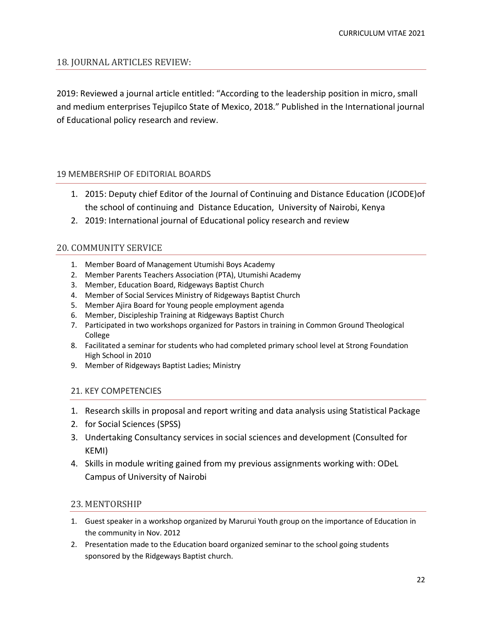### <span id="page-21-0"></span>18. JOURNAL ARTICLES REVIEW:

2019: Reviewed a journal article entitled: "According to the leadership position in micro, small and medium enterprises Tejupilco State of Mexico, 2018." Published in the International journal of Educational policy research and review.

### <span id="page-21-1"></span>19 MEMBERSHIP OF EDITORIAL BOARDS

- 1. 2015: Deputy chief Editor of the Journal of Continuing and Distance Education (JCODE)of the school of continuing and Distance Education, University of Nairobi, Kenya
- 2. 2019: International journal of Educational policy research and review

### <span id="page-21-2"></span>20. COMMUNITY SERVICE

- 1. Member Board of Management Utumishi Boys Academy
- 2. Member Parents Teachers Association (PTA), Utumishi Academy
- 3. Member, Education Board, Ridgeways Baptist Church
- 4. Member of Social Services Ministry of Ridgeways Baptist Church
- 5. Member Ajira Board for Young people employment agenda
- 6. Member, Discipleship Training at Ridgeways Baptist Church
- 7. Participated in two workshops organized for Pastors in training in Common Ground Theological College
- 8. Facilitated a seminar for students who had completed primary school level at Strong Foundation High School in 2010
- <span id="page-21-3"></span>9. Member of Ridgeways Baptist Ladies; Ministry

### 21. KEY COMPETENCIES

- 1. Research skills in proposal and report writing and data analysis using Statistical Package
- 2. for Social Sciences (SPSS)
- 3. Undertaking Consultancy services in social sciences and development (Consulted for KEMI)
- 4. Skills in module writing gained from my previous assignments working with: ODeL Campus of University of Nairobi

### <span id="page-21-4"></span>23. MENTORSHIP

- 1. Guest speaker in a workshop organized by Marurui Youth group on the importance of Education in the community in Nov. 2012
- 2. Presentation made to the Education board organized seminar to the school going students sponsored by the Ridgeways Baptist church.